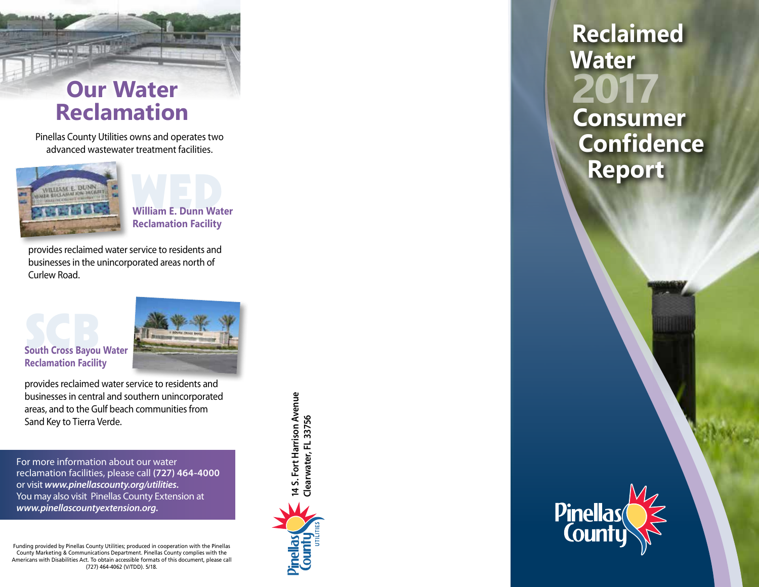

Pinellas County Utilities owns and operates two advanced wastewater treatment facilities.



WED **William E. Dunn Water Reclamation Facility**

provides reclaimed water service to residents and businesses in the unincorporated areas north of Curlew Road.

# **South Cross Bayou Water Reclamation Facility**



provides reclaimed water service to residents and businesses in central and southern unincorporated areas, and to the Gulf beach communities from Sand Key to Tierra Verde.

For more information about our water reclamation facilities, please call **(727) 464-4000**  or visit *www.pinellascounty.org/utilities.* You may also visit Pinellas County Extension at *www.pinellascountyextension.org.*

Funding provided by Pinellas County Utilities; produced in cooperation with the Pinellas County Marketing & Communications Department. Pinellas County complies with the Americans with Disabilities Act. To obtain accessible formats of this document, please call (727) 464-4062 (V/TDD). 5/18.



**2017 Reclaimed Water Consumer Confidence Report**